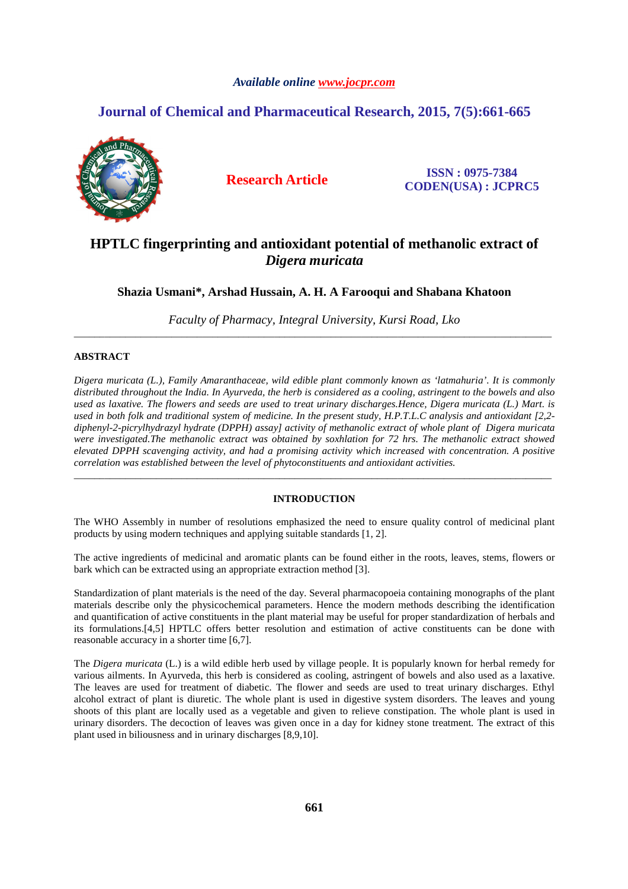# *Available online www.jocpr.com*

# **Journal of Chemical and Pharmaceutical Research, 2015, 7(5):661-665**



**Research Article ISSN : 0975-7384 CODEN(USA) : JCPRC5**

# **HPTLC fingerprinting and antioxidant potential of methanolic extract of**  *Digera muricata*

**Shazia Usmani\*, Arshad Hussain, A. H. A Farooqui and Shabana Khatoon** 

*Faculty of Pharmacy, Integral University, Kursi Road, Lko*  \_\_\_\_\_\_\_\_\_\_\_\_\_\_\_\_\_\_\_\_\_\_\_\_\_\_\_\_\_\_\_\_\_\_\_\_\_\_\_\_\_\_\_\_\_\_\_\_\_\_\_\_\_\_\_\_\_\_\_\_\_\_\_\_\_\_\_\_\_\_\_\_\_\_\_\_\_\_\_\_\_\_\_\_\_\_\_\_\_\_\_\_\_

# **ABSTRACT**

*Digera muricata (L.), Family Amaranthaceae, wild edible plant commonly known as 'latmahuria'. It is commonly distributed throughout the India. In Ayurveda, the herb is considered as a cooling, astringent to the bowels and also used as laxative. The flowers and seeds are used to treat urinary discharges.Hence, Digera muricata (L.) Mart. is used in both folk and traditional system of medicine. In the present study, H.P.T.L.C analysis and antioxidant [2,2 diphenyl-2-picrylhydrazyl hydrate (DPPH) assay] activity of methanolic extract of whole plant of Digera muricata were investigated.The methanolic extract was obtained by soxhlation for 72 hrs. The methanolic extract showed elevated DPPH scavenging activity, and had a promising activity which increased with concentration. A positive correlation was established between the level of phytoconstituents and antioxidant activities.* 

# **INTRODUCTION**

\_\_\_\_\_\_\_\_\_\_\_\_\_\_\_\_\_\_\_\_\_\_\_\_\_\_\_\_\_\_\_\_\_\_\_\_\_\_\_\_\_\_\_\_\_\_\_\_\_\_\_\_\_\_\_\_\_\_\_\_\_\_\_\_\_\_\_\_\_\_\_\_\_\_\_\_\_\_\_\_\_\_\_\_\_\_\_\_\_\_\_\_\_

The WHO Assembly in number of resolutions emphasized the need to ensure quality control of medicinal plant products by using modern techniques and applying suitable standards [1, 2].

The active ingredients of medicinal and aromatic plants can be found either in the roots, leaves, stems, flowers or bark which can be extracted using an appropriate extraction method [3].

Standardization of plant materials is the need of the day. Several pharmacopoeia containing monographs of the plant materials describe only the physicochemical parameters. Hence the modern methods describing the identification and quantification of active constituents in the plant material may be useful for proper standardization of herbals and its formulations.[4,5] HPTLC offers better resolution and estimation of active constituents can be done with reasonable accuracy in a shorter time [6,7].

The *Digera muricata* (L.) is a wild edible herb used by village people. It is popularly known for herbal remedy for various ailments. In Ayurveda, this herb is considered as cooling, astringent of bowels and also used as a laxative. The leaves are used for treatment of diabetic. The flower and seeds are used to treat urinary discharges. Ethyl alcohol extract of plant is diuretic. The whole plant is used in digestive system disorders. The leaves and young shoots of this plant are locally used as a vegetable and given to relieve constipation. The whole plant is used in urinary disorders. The decoction of leaves was given once in a day for kidney stone treatment. The extract of this plant used in biliousness and in urinary discharges [8,9,10].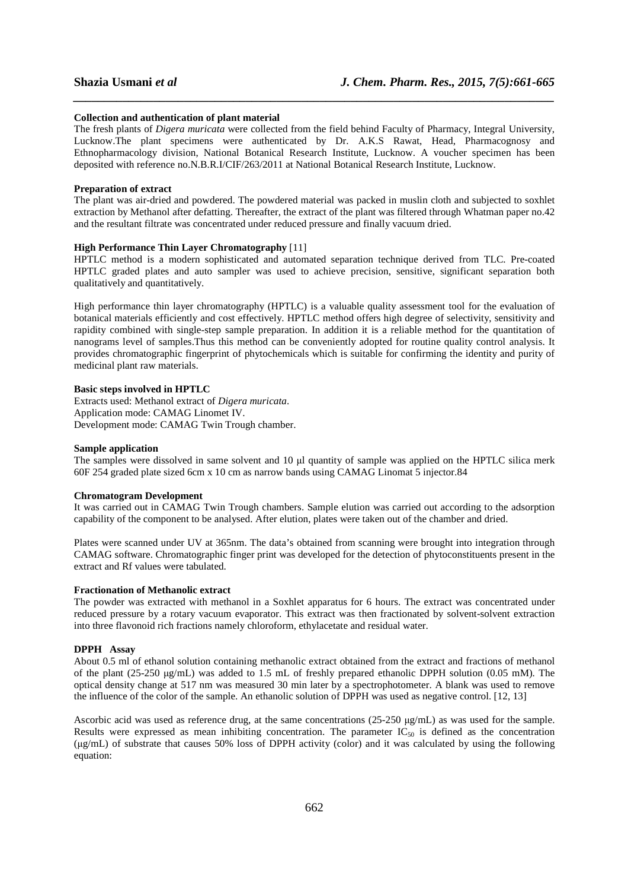#### **Collection and authentication of plant material**

The fresh plants of *Digera muricata* were collected from the field behind Faculty of Pharmacy, Integral University, Lucknow.The plant specimens were authenticated by Dr. A.K.S Rawat, Head, Pharmacognosy and Ethnopharmacology division, National Botanical Research Institute, Lucknow. A voucher specimen has been deposited with reference no.N.B.R.I/CIF/263/2011 at National Botanical Research Institute, Lucknow.

*\_\_\_\_\_\_\_\_\_\_\_\_\_\_\_\_\_\_\_\_\_\_\_\_\_\_\_\_\_\_\_\_\_\_\_\_\_\_\_\_\_\_\_\_\_\_\_\_\_\_\_\_\_\_\_\_\_\_\_\_\_\_\_\_\_\_\_\_\_\_\_\_\_\_\_\_\_\_*

### **Preparation of extract**

The plant was air-dried and powdered. The powdered material was packed in muslin cloth and subjected to soxhlet extraction by Methanol after defatting. Thereafter, the extract of the plant was filtered through Whatman paper no.42 and the resultant filtrate was concentrated under reduced pressure and finally vacuum dried.

## **High Performance Thin Layer Chromatography** [11]

HPTLC method is a modern sophisticated and automated separation technique derived from TLC. Pre-coated HPTLC graded plates and auto sampler was used to achieve precision, sensitive, significant separation both qualitatively and quantitatively.

High performance thin layer chromatography (HPTLC) is a valuable quality assessment tool for the evaluation of botanical materials efficiently and cost effectively. HPTLC method offers high degree of selectivity, sensitivity and rapidity combined with single-step sample preparation. In addition it is a reliable method for the quantitation of nanograms level of samples.Thus this method can be conveniently adopted for routine quality control analysis. It provides chromatographic fingerprint of phytochemicals which is suitable for confirming the identity and purity of medicinal plant raw materials.

## **Basic steps involved in HPTLC**

Extracts used: Methanol extract of *Digera muricata*. Application mode: CAMAG Linomet IV. Development mode: CAMAG Twin Trough chamber.

### **Sample application**

The samples were dissolved in same solvent and 10  $\mu$ l quantity of sample was applied on the HPTLC silica merk 60F 254 graded plate sized 6cm x 10 cm as narrow bands using CAMAG Linomat 5 injector.84

#### **Chromatogram Development**

It was carried out in CAMAG Twin Trough chambers. Sample elution was carried out according to the adsorption capability of the component to be analysed. After elution, plates were taken out of the chamber and dried.

Plates were scanned under UV at 365nm. The data's obtained from scanning were brought into integration through CAMAG software. Chromatographic finger print was developed for the detection of phytoconstituents present in the extract and Rf values were tabulated.

#### **Fractionation of Methanolic extract**

The powder was extracted with methanol in a Soxhlet apparatus for 6 hours. The extract was concentrated under reduced pressure by a rotary vacuum evaporator. This extract was then fractionated by solvent-solvent extraction into three flavonoid rich fractions namely chloroform, ethylacetate and residual water.

#### **DPPH Assay**

About 0.5 ml of ethanol solution containing methanolic extract obtained from the extract and fractions of methanol of the plant (25-250 µg/mL) was added to 1.5 mL of freshly prepared ethanolic DPPH solution (0.05 mM). The optical density change at 517 nm was measured 30 min later by a spectrophotometer. A blank was used to remove the influence of the color of the sample. An ethanolic solution of DPPH was used as negative control. [12, 13]

Ascorbic acid was used as reference drug, at the same concentrations  $(25-250 \mu g/mL)$  as was used for the sample. Results were expressed as mean inhibiting concentration. The parameter  $IC_{50}$  is defined as the concentration (µg/mL) of substrate that causes 50% loss of DPPH activity (color) and it was calculated by using the following equation: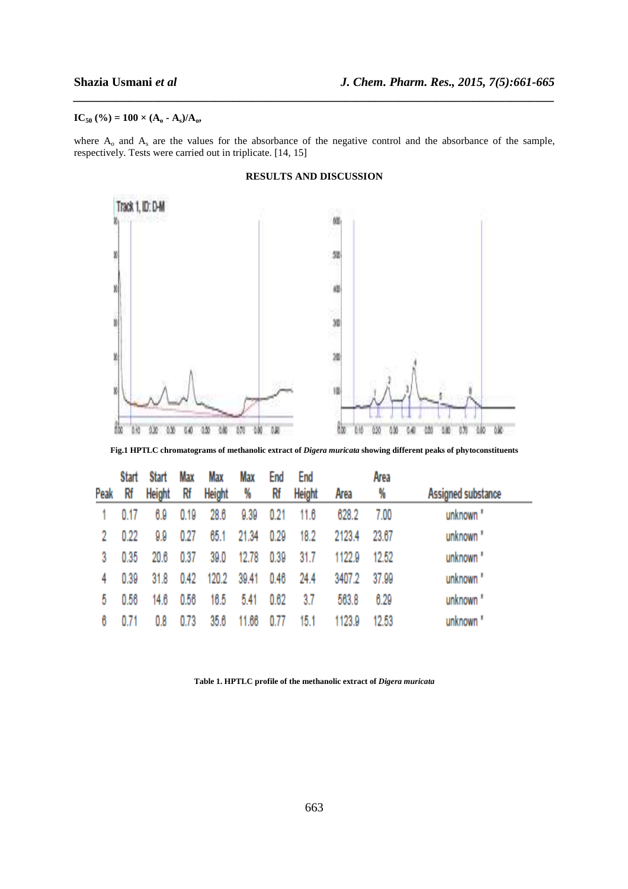# $IC_{50}$  (%) = 100 × ( $A_0$  -  $A_s$ )/ $A_0$ ,

where  $A_0$  and  $A_s$  are the values for the absorbance of the negative control and the absorbance of the sample, respectively. Tests were carried out in triplicate. [14, 15]

*\_\_\_\_\_\_\_\_\_\_\_\_\_\_\_\_\_\_\_\_\_\_\_\_\_\_\_\_\_\_\_\_\_\_\_\_\_\_\_\_\_\_\_\_\_\_\_\_\_\_\_\_\_\_\_\_\_\_\_\_\_\_\_\_\_\_\_\_\_\_\_\_\_\_\_\_\_\_*



# **RESULTS AND DISCUSSION**

**Fig.1 HPTLC chromatograms of methanolic extract of** *Digera muricata* **showing different peaks of phytoconstituents** 

| Peak | <b>Start</b><br>Rf | <b>Start</b><br>Height | Max<br>Rf | Max<br><b>Height</b> | Max<br>₩ | End<br>Rf | End<br><b>Height</b> | Area   | Area<br>% | Assigned substance   |
|------|--------------------|------------------------|-----------|----------------------|----------|-----------|----------------------|--------|-----------|----------------------|
|      | 0.17               | 6.9                    | 0.19      | 28.6                 | 9.39     | 0.21      | 11.6                 | 628.2  | 7.00      | unknown <sup>*</sup> |
|      | 0.22               | 9.9                    | 0.27      | 65.1                 | 21.34    | 0.29      | 18.2                 | 2123.4 | 23.67     | unknown <sup>"</sup> |
| 3    | 0.35               | 20.6                   | 0.37      | 39.0                 | 12.78    | 0.39      | 31.7                 | 1122.9 | 12.52     | unknown <sup>"</sup> |
|      | 0.39               | 31.8                   | 0.42      | 120.2                | 39.41    | 0.46      | 24.4                 | 3407.2 | 37.99     | unknown <sup>"</sup> |
| 5    | 0.56               | 14.6                   | 0.56      | 16.5                 | 5.41     | 0.62      | 3.7                  | 563.8  | 6.29      | unknown <sup>"</sup> |
| 6    |                    | 0.8                    | 0.73      | 35.6                 | 11.66    | 0.77      | 15.1                 | 1123.9 | 12.53     | unknown <sup>"</sup> |

**Table 1. HPTLC profile of the methanolic extract of** *Digera muricata*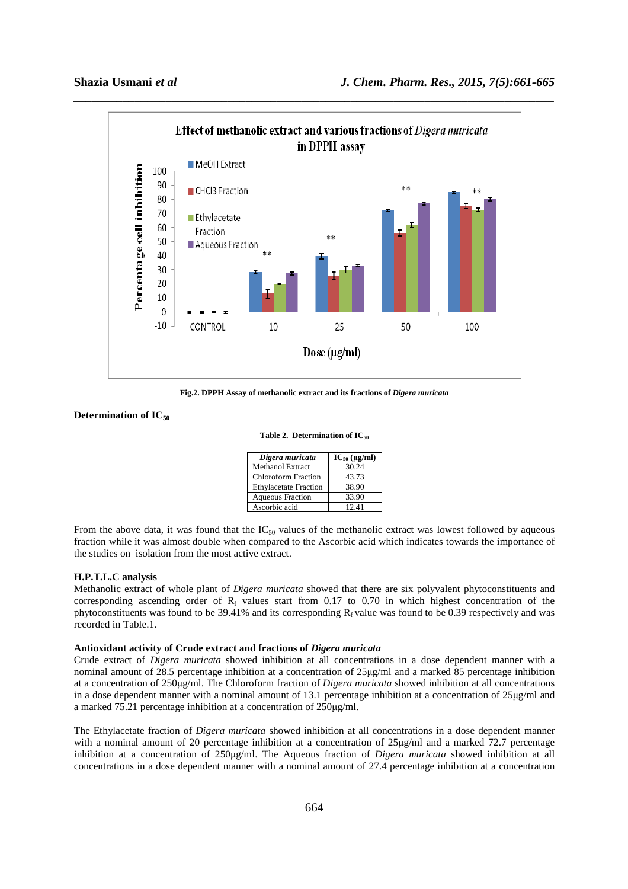

**Fig.2. DPPH Assay of methanolic extract and its fractions of** *Digera muricata*

# **Determination of IC<sup>50</sup>**

#### Table 2. Determination of IC<sub>50</sub>

| Digera muricata              | $IC_{50} (\mu g/ml)$ |
|------------------------------|----------------------|
| <b>Methanol Extract</b>      | 30.24                |
| <b>Chloroform Fraction</b>   | 43.73                |
| <b>Ethylacetate Fraction</b> | 38.90                |
| <b>Aqueous Fraction</b>      | 33.90                |
| Ascorbic acid                | 12.41                |

From the above data, it was found that the  $IC_{50}$  values of the methanolic extract was lowest followed by aqueous fraction while it was almost double when compared to the Ascorbic acid which indicates towards the importance of the studies on isolation from the most active extract.

### **H.P.T.L.C analysis**

Methanolic extract of whole plant of *Digera muricata* showed that there are six polyvalent phytoconstituents and corresponding ascending order of  $R_f$  values start from 0.17 to 0.70 in which highest concentration of the phytoconstituents was found to be  $39.41\%$  and its corresponding  $R_f$  value was found to be 0.39 respectively and was recorded in Table.1.

#### **Antioxidant activity of Crude extract and fractions of** *Digera muricata*

Crude extract of *Digera muricata* showed inhibition at all concentrations in a dose dependent manner with a nominal amount of 28.5 percentage inhibition at a concentration of 25µg/ml and a marked 85 percentage inhibition at a concentration of 250µg/ml. The Chloroform fraction of *Digera muricata* showed inhibition at all concentrations in a dose dependent manner with a nominal amount of 13.1 percentage inhibition at a concentration of 25µg/ml and a marked 75.21 percentage inhibition at a concentration of 250µg/ml.

The Ethylacetate fraction of *Digera muricata* showed inhibition at all concentrations in a dose dependent manner with a nominal amount of 20 percentage inhibition at a concentration of 25µg/ml and a marked 72.7 percentage inhibition at a concentration of 250µg/ml. The Aqueous fraction of *Digera muricata* showed inhibition at all concentrations in a dose dependent manner with a nominal amount of 27.4 percentage inhibition at a concentration